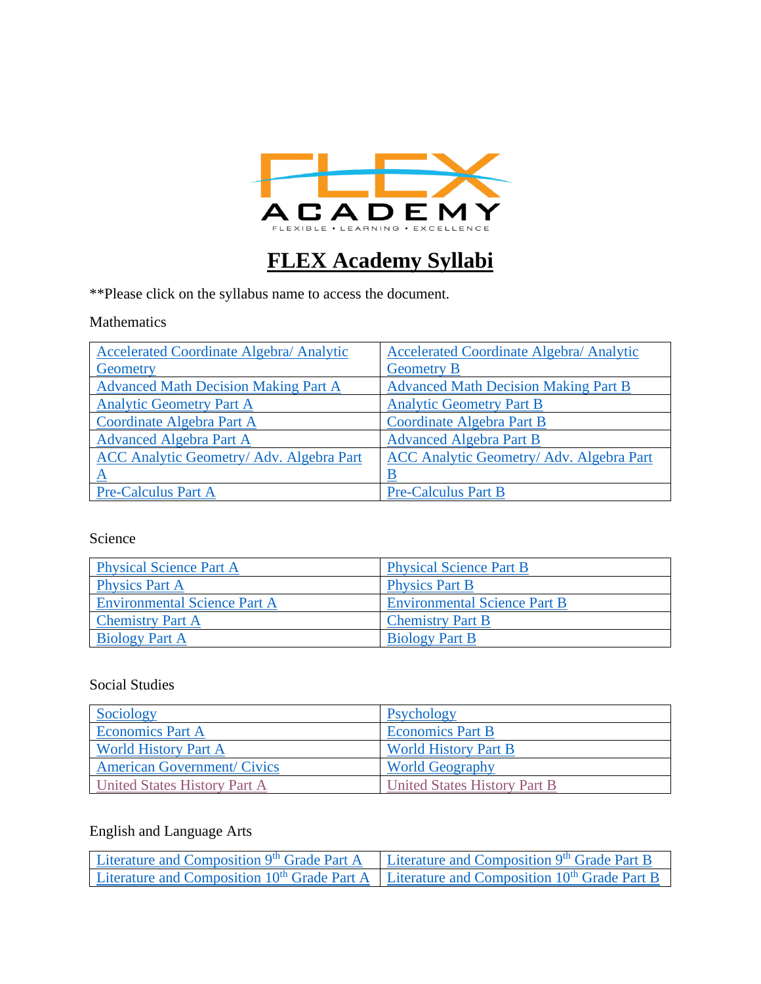

# **FLEX Academy Syllabi**

\*\*Please click on the syllabus name to access the document.

#### Mathematics

| <b>Accelerated Coordinate Algebra/ Analytic</b> | <b>Accelerated Coordinate Algebra/ Analytic</b> |
|-------------------------------------------------|-------------------------------------------------|
| Geometry                                        | <b>Geometry B</b>                               |
| <b>Advanced Math Decision Making Part A</b>     | <b>Advanced Math Decision Making Part B</b>     |
| <b>Analytic Geometry Part A</b>                 | <b>Analytic Geometry Part B</b>                 |
| Coordinate Algebra Part A                       | Coordinate Algebra Part B                       |
| <b>Advanced Algebra Part A</b>                  | <b>Advanced Algebra Part B</b>                  |
| ACC Analytic Geometry/ Adv. Algebra Part        | ACC Analytic Geometry/ Adv. Algebra Part        |
| $\underline{A}$                                 |                                                 |
| <b>Pre-Calculus Part A</b>                      | <b>Pre-Calculus Part B</b>                      |

#### Science

| <b>Physical Science Part A</b>      | <b>Physical Science Part B</b>      |
|-------------------------------------|-------------------------------------|
| <b>Physics Part A</b>               | <b>Physics Part B</b>               |
| <b>Environmental Science Part A</b> | <b>Environmental Science Part B</b> |
| <b>Chemistry Part A</b>             | <b>Chemistry Part B</b>             |
| <b>Biology Part A</b>               | <b>Biology Part B</b>               |

### Social Studies

| Sociology                           | Psychology                   |
|-------------------------------------|------------------------------|
| <b>Economics Part A</b>             | <b>Economics Part B</b>      |
| <b>World History Part A</b>         | <b>World History Part B</b>  |
| <b>American Government/ Civics</b>  | <b>World Geography</b>       |
| <b>United States History Part A</b> | United States History Part B |

### English and Language Arts

| Literature and Composition 9 <sup>th</sup> Grade Part A                                                             | Literature and Composition 9 <sup>th</sup> Grade Part B |
|---------------------------------------------------------------------------------------------------------------------|---------------------------------------------------------|
| Literature and Composition 10 <sup>th</sup> Grade Part A   Literature and Composition 10 <sup>th</sup> Grade Part B |                                                         |